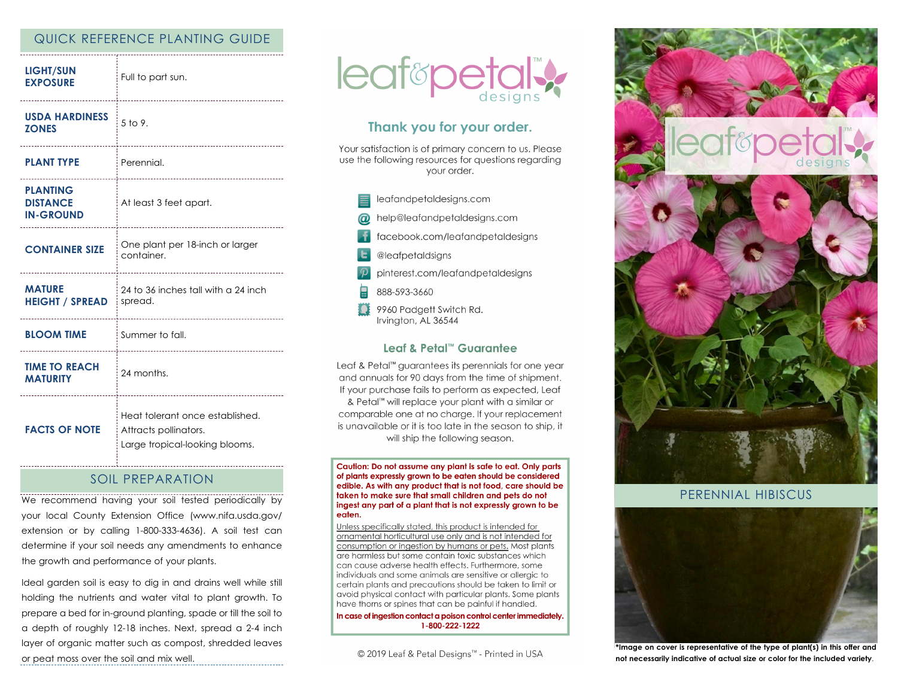### QUICK REFERENCE PLANTING GUIDE

| <b>LIGHT/SUN</b><br><b>EXPOSURE</b>                    | Full to part sun.<br>---------------------------                                           |
|--------------------------------------------------------|--------------------------------------------------------------------------------------------|
| <b>USDA HARDINESS</b><br><b>ZONES</b>                  | $5$ to 9.<br>                                                                              |
| <b>PLANT TYPE</b>                                      | Perennial.                                                                                 |
| <b>PLANTING</b><br><b>DISTANCE</b><br><b>IN-GROUND</b> | At least 3 feet apart.<br>--------------------------------------                           |
| <b>CONTAINER SIZE</b>                                  | One plant per 18-inch or larger<br>container.                                              |
| <b>MATURE</b><br><b>HEIGHT / SPREAD</b>                | 24 to 36 inches tall with a 24 inch<br>spread.                                             |
| <b>BLOOM TIME</b>                                      | Summer to fall.                                                                            |
| <b>TIME TO REACH</b><br><b>MATURITY</b>                | 24 months.                                                                                 |
| <b>FACTS OF NOTE</b>                                   | Heat tolerant once established.<br>Attracts pollinators.<br>Large tropical-looking blooms. |

## SOIL PREPARATION

We recommend having your soil tested periodically by your local County Extension Office (www.nifa.usda.gov/ extension or by calling 1-800-333-4636). A soil test can determine if your soil needs any amendments to enhance the growth and performance of your plants.

Ideal garden soil is easy to dig in and drains well while still holding the nutrients and water vital to plant growth. To prepare a bed for in-ground planting, spade or till the soil to a depth of roughly 12-18 inches. Next, spread a 2-4 inch layer of organic matter such as compost, shredded leaves or peat moss over the soil and mix well.



# Thank you for your order.

Your satisfaction is of primary concern to us. Please use the following resources for questions regarding vour order.

leafandpetaldesigns.com help@leafandpetaldesigns.com facebook.com/leafandpetaldesigns @leafpetaldsigns pinterest.com/leafandpetaldesigns 888-593-3660 9960 Padgett Switch Rd. Irvington, AL 36544

### Leaf & Petal™ Guarantee

Leaf & Petal<sup>™</sup> guarantees its perennials for one year and annuals for 90 days from the time of shipment. If your purchase fails to perform as expected, Leaf & Petal™ will replace your plant with a similar or comparable one at no charge. If your replacement is unavailable or it is too late in the season to ship, it will ship the following season.

Caution: Do not assume any plant is safe to eat. Only parts of plants expressly grown to be eaten should be considered edible. As with any product that is not food, care should be taken to make sure that small children and pets do not ingest any part of a plant that is not expressly grown to be eaten.

Unless specifically stated, this product is intended for ornamental horticultural use only and is not intended for consumption or ingestion by humans or pets. Most plants are harmless but some contain toxic substances which can cause adverse health effects. Furthermore, some individuals and some animals are sensitive or allergic to certain plants and precautions should be taken to limit or avoid physical contact with particular plants. Some plants have thorns or spines that can be painful if handled.

In case of ingestion contact a poison control center immediately. 1-800-222-1222

© 2019 Leaf & Petal Designs<sup>™</sup> - Printed in USA



### PERENNIAL HIBISCUS



**\*Image on cover is representative of the type of plant(s) in this offer and not necessarily indicative of actual size or color for the included variety**.